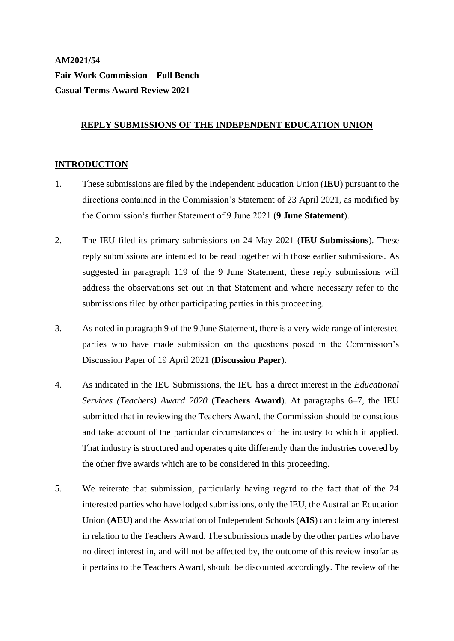# **AM2021/54 Fair Work Commission – Full Bench Casual Terms Award Review 2021**

#### **REPLY SUBMISSIONS OF THE INDEPENDENT EDUCATION UNION**

#### **INTRODUCTION**

- 1. These submissions are filed by the Independent Education Union (**IEU**) pursuant to the directions contained in the Commission's Statement of 23 April 2021, as modified by the Commission's further Statement of 9 June 2021 (**9 June Statement**).
- 2. The IEU filed its primary submissions on 24 May 2021 (**IEU Submissions**). These reply submissions are intended to be read together with those earlier submissions. As suggested in paragraph 119 of the 9 June Statement, these reply submissions will address the observations set out in that Statement and where necessary refer to the submissions filed by other participating parties in this proceeding.
- 3. As noted in paragraph 9 of the 9 June Statement, there is a very wide range of interested parties who have made submission on the questions posed in the Commission's Discussion Paper of 19 April 2021 (**Discussion Paper**).
- 4. As indicated in the IEU Submissions, the IEU has a direct interest in the *Educational Services (Teachers) Award 2020* (**Teachers Award**). At paragraphs 6–7, the IEU submitted that in reviewing the Teachers Award, the Commission should be conscious and take account of the particular circumstances of the industry to which it applied. That industry is structured and operates quite differently than the industries covered by the other five awards which are to be considered in this proceeding.
- 5. We reiterate that submission, particularly having regard to the fact that of the 24 interested parties who have lodged submissions, only the IEU, the Australian Education Union (**AEU**) and the Association of Independent Schools (**AIS**) can claim any interest in relation to the Teachers Award. The submissions made by the other parties who have no direct interest in, and will not be affected by, the outcome of this review insofar as it pertains to the Teachers Award, should be discounted accordingly. The review of the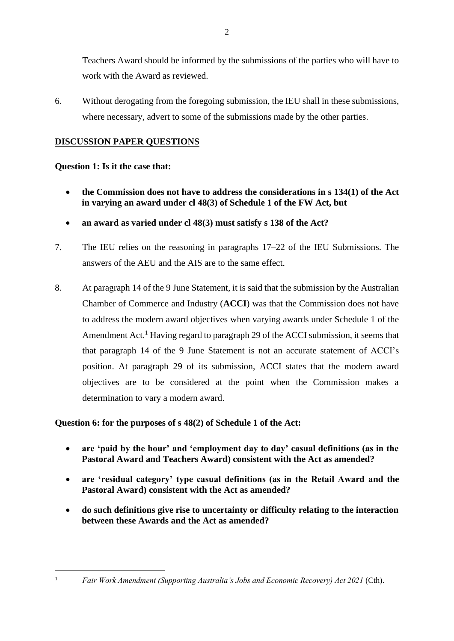Teachers Award should be informed by the submissions of the parties who will have to work with the Award as reviewed.

6. Without derogating from the foregoing submission, the IEU shall in these submissions, where necessary, advert to some of the submissions made by the other parties.

## **DISCUSSION PAPER QUESTIONS**

### **Question 1: Is it the case that:**

- **the Commission does not have to address the considerations in s 134(1) of the Act in varying an award under cl 48(3) of Schedule 1 of the FW Act, but**
- **an award as varied under cl 48(3) must satisfy s 138 of the Act?**
- 7. The IEU relies on the reasoning in paragraphs 17–22 of the IEU Submissions. The answers of the AEU and the AIS are to the same effect.
- 8. At paragraph 14 of the 9 June Statement, it is said that the submission by the Australian Chamber of Commerce and Industry (**ACCI**) was that the Commission does not have to address the modern award objectives when varying awards under Schedule 1 of the Amendment Act.<sup>1</sup> Having regard to paragraph 29 of the ACCI submission, it seems that that paragraph 14 of the 9 June Statement is not an accurate statement of ACCI's position. At paragraph 29 of its submission, ACCI states that the modern award objectives are to be considered at the point when the Commission makes a determination to vary a modern award.

### **Question 6: for the purposes of s 48(2) of Schedule 1 of the Act:**

- **are 'paid by the hour' and 'employment day to day' casual definitions (as in the Pastoral Award and Teachers Award) consistent with the Act as amended?**
- **are 'residual category' type casual definitions (as in the Retail Award and the Pastoral Award) consistent with the Act as amended?**
- **do such definitions give rise to uncertainty or difficulty relating to the interaction between these Awards and the Act as amended?**

<sup>1</sup> *Fair Work Amendment (Supporting Australia's Jobs and Economic Recovery) Act 2021* (Cth).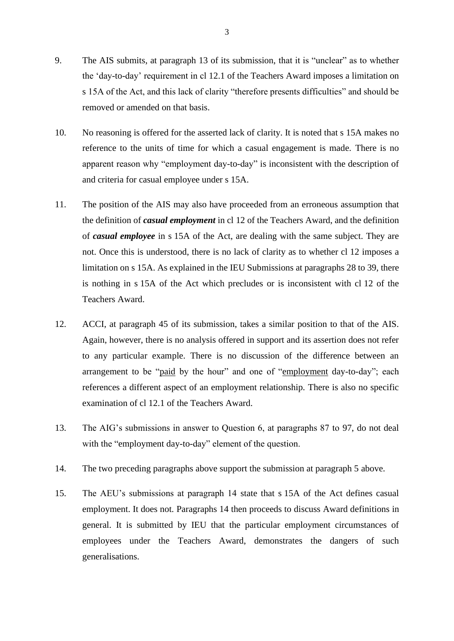- 9. The AIS submits, at paragraph 13 of its submission, that it is "unclear" as to whether the 'day-to-day' requirement in cl 12.1 of the Teachers Award imposes a limitation on s 15A of the Act, and this lack of clarity "therefore presents difficulties" and should be removed or amended on that basis.
- 10. No reasoning is offered for the asserted lack of clarity. It is noted that s 15A makes no reference to the units of time for which a casual engagement is made. There is no apparent reason why "employment day-to-day" is inconsistent with the description of and criteria for casual employee under s 15A.
- <span id="page-2-0"></span>11. The position of the AIS may also have proceeded from an erroneous assumption that the definition of *casual employment* in cl 12 of the Teachers Award, and the definition of *casual employee* in s 15A of the Act, are dealing with the same subject. They are not. Once this is understood, there is no lack of clarity as to whether cl 12 imposes a limitation on s 15A. As explained in the IEU Submissions at paragraphs 28 to 39, there is nothing in s 15A of the Act which precludes or is inconsistent with cl 12 of the Teachers Award.
- 12. ACCI, at paragraph 45 of its submission, takes a similar position to that of the AIS. Again, however, there is no analysis offered in support and its assertion does not refer to any particular example. There is no discussion of the difference between an arrangement to be "paid by the hour" and one of "employment day-to-day"; each references a different aspect of an employment relationship. There is also no specific examination of cl 12.1 of the Teachers Award.
- 13. The AIG's submissions in answer to Question 6, at paragraphs 87 to 97, do not deal with the "employment day-to-day" element of the question.
- 14. The two preceding paragraphs above support the submission at paragraph 5 above.
- 15. The AEU's submissions at paragraph 14 state that s 15A of the Act defines casual employment. It does not. Paragraphs 14 then proceeds to discuss Award definitions in general. It is submitted by IEU that the particular employment circumstances of employees under the Teachers Award, demonstrates the dangers of such generalisations.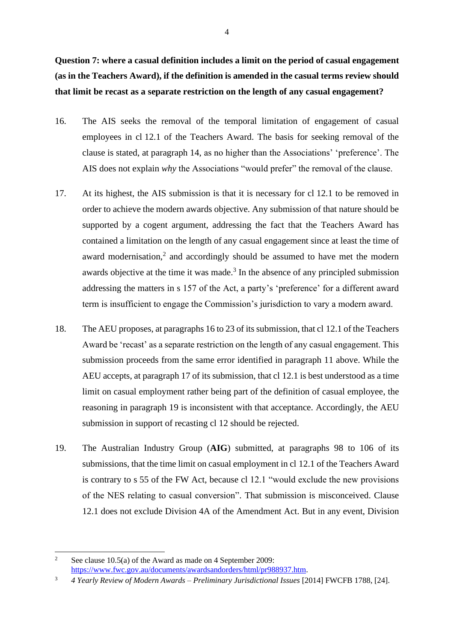**Question 7: where a casual definition includes a limit on the period of casual engagement (as in the Teachers Award), if the definition is amended in the casual terms review should that limit be recast as a separate restriction on the length of any casual engagement?**

- 16. The AIS seeks the removal of the temporal limitation of engagement of casual employees in cl 12.1 of the Teachers Award. The basis for seeking removal of the clause is stated, at paragraph 14, as no higher than the Associations' 'preference'. The AIS does not explain *why* the Associations "would prefer" the removal of the clause.
- 17. At its highest, the AIS submission is that it is necessary for cl 12.1 to be removed in order to achieve the modern awards objective. Any submission of that nature should be supported by a cogent argument, addressing the fact that the Teachers Award has contained a limitation on the length of any casual engagement since at least the time of award modernisation, $2$  and accordingly should be assumed to have met the modern awards objective at the time it was made. $3$  In the absence of any principled submission addressing the matters in s 157 of the Act, a party's 'preference' for a different award term is insufficient to engage the Commission's jurisdiction to vary a modern award.
- 18. The AEU proposes, at paragraphs 16 to 23 of its submission, that cl 12.1 of the Teachers Award be 'recast' as a separate restriction on the length of any casual engagement. This submission proceeds from the same error identified in paragraph [11](#page-2-0) above. While the AEU accepts, at paragraph 17 of its submission, that cl 12.1 is best understood as a time limit on casual employment rather being part of the definition of casual employee, the reasoning in paragraph 19 is inconsistent with that acceptance. Accordingly, the AEU submission in support of recasting cl 12 should be rejected.
- 19. The Australian Industry Group (**AIG**) submitted, at paragraphs 98 to 106 of its submissions, that the time limit on casual employment in cl 12.1 of the Teachers Award is contrary to s 55 of the FW Act, because cl 12.1 "would exclude the new provisions of the NES relating to casual conversion". That submission is misconceived. Clause 12.1 does not exclude Division 4A of the Amendment Act. But in any event, Division

<sup>&</sup>lt;sup>2</sup> See clause 10.5(a) of the Award as made on 4 September 2009: [https://www.fwc.gov.au/documents/awardsandorders/html/pr988937.htm.](https://www.fwc.gov.au/documents/awardsandorders/html/pr988937.htm)

<sup>3</sup> *4 Yearly Review of Modern Awards – Preliminary Jurisdictional Issues* [2014] FWCFB 1788, [24].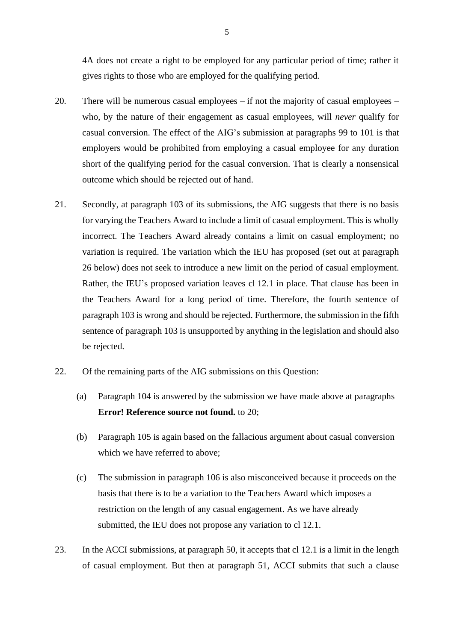4A does not create a right to be employed for any particular period of time; rather it gives rights to those who are employed for the qualifying period.

- <span id="page-4-0"></span>20. There will be numerous casual employees – if not the majority of casual employees – who, by the nature of their engagement as casual employees, will *never* qualify for casual conversion. The effect of the AIG's submission at paragraphs 99 to 101 is that employers would be prohibited from employing a casual employee for any duration short of the qualifying period for the casual conversion. That is clearly a nonsensical outcome which should be rejected out of hand.
- 21. Secondly, at paragraph 103 of its submissions, the AIG suggests that there is no basis for varying the Teachers Award to include a limit of casual employment. This is wholly incorrect. The Teachers Award already contains a limit on casual employment; no variation is required. The variation which the IEU has proposed (set out at paragraph [26](#page-5-0) below) does not seek to introduce a new limit on the period of casual employment. Rather, the IEU's proposed variation leaves cl 12.1 in place. That clause has been in the Teachers Award for a long period of time. Therefore, the fourth sentence of paragraph 103 is wrong and should be rejected. Furthermore, the submission in the fifth sentence of paragraph 103 is unsupported by anything in the legislation and should also be rejected.
- 22. Of the remaining parts of the AIG submissions on this Question:
	- (a) Paragraph 104 is answered by the submission we have made above at paragraphs **Error! Reference source not found.** to [20;](#page-4-0)
	- (b) Paragraph 105 is again based on the fallacious argument about casual conversion which we have referred to above;
	- (c) The submission in paragraph 106 is also misconceived because it proceeds on the basis that there is to be a variation to the Teachers Award which imposes a restriction on the length of any casual engagement. As we have already submitted, the IEU does not propose any variation to cl 12.1.
- 23. In the ACCI submissions, at paragraph 50, it accepts that cl 12.1 is a limit in the length of casual employment. But then at paragraph 51, ACCI submits that such a clause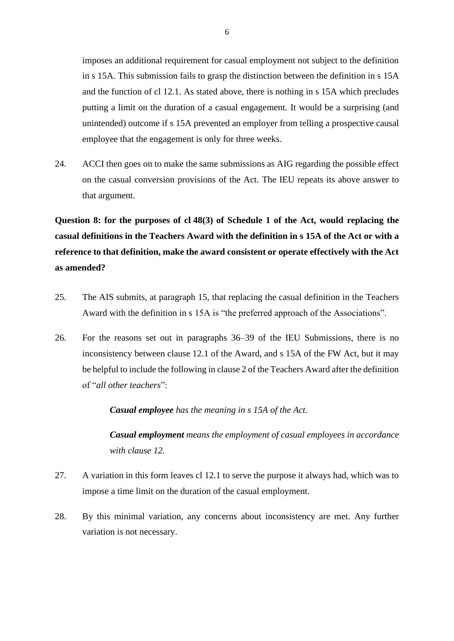imposes an additional requirement for casual employment not subject to the definition in s 15A. This submission fails to grasp the distinction between the definition in s 15A and the function of cl 12.1. As stated above, there is nothing in s 15A which precludes putting a limit on the duration of a casual engagement. It would be a surprising (and unintended) outcome if s 15A prevented an employer from telling a prospective causal employee that the engagement is only for three weeks.

24. ACCI then goes on to make the same submissions as AIG regarding the possible effect on the casual conversion provisions of the Act. The IEU repeats its above answer to that argument.

**Question 8: for the purposes of cl 48(3) of Schedule 1 of the Act, would replacing the casual definitions in the Teachers Award with the definition in s 15A of the Act or with a reference to that definition, make the award consistent or operate effectively with the Act as amended?**

- 25. The AIS submits, at paragraph 15, that replacing the casual definition in the Teachers Award with the definition in s 15A is "the preferred approach of the Associations".
- <span id="page-5-0"></span>26. For the reasons set out in paragraphs 36–39 of the IEU Submissions, there is no inconsistency between clause 12.1 of the Award, and s 15A of the FW Act, but it may be helpful to include the following in clause 2 of the Teachers Award after the definition of "*all other teachers*":

*Casual employee has the meaning in s 15A of the Act.*

*Casual employment means the employment of casual employees in accordance with clause 12.*

- 27. A variation in this form leaves cl 12.1 to serve the purpose it always had, which was to impose a time limit on the duration of the casual employment.
- 28. By this minimal variation, any concerns about inconsistency are met. Any further variation is not necessary.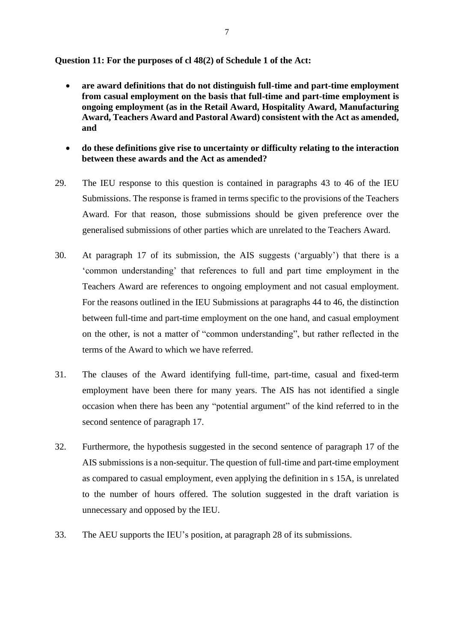**Question 11: For the purposes of cl 48(2) of Schedule 1 of the Act:**

- **are award definitions that do not distinguish full-time and part-time employment from casual employment on the basis that full-time and part-time employment is ongoing employment (as in the Retail Award, Hospitality Award, Manufacturing Award, Teachers Award and Pastoral Award) consistent with the Act as amended, and**
- **do these definitions give rise to uncertainty or difficulty relating to the interaction between these awards and the Act as amended?**
- 29. The IEU response to this question is contained in paragraphs 43 to 46 of the IEU Submissions. The response is framed in terms specific to the provisions of the Teachers Award. For that reason, those submissions should be given preference over the generalised submissions of other parties which are unrelated to the Teachers Award.
- 30. At paragraph 17 of its submission, the AIS suggests ('arguably') that there is a 'common understanding' that references to full and part time employment in the Teachers Award are references to ongoing employment and not casual employment. For the reasons outlined in the IEU Submissions at paragraphs 44 to 46, the distinction between full-time and part-time employment on the one hand, and casual employment on the other, is not a matter of "common understanding", but rather reflected in the terms of the Award to which we have referred.
- 31. The clauses of the Award identifying full-time, part-time, casual and fixed-term employment have been there for many years. The AIS has not identified a single occasion when there has been any "potential argument" of the kind referred to in the second sentence of paragraph 17.
- 32. Furthermore, the hypothesis suggested in the second sentence of paragraph 17 of the AIS submissions is a non-sequitur. The question of full-time and part-time employment as compared to casual employment, even applying the definition in s 15A, is unrelated to the number of hours offered. The solution suggested in the draft variation is unnecessary and opposed by the IEU.
- 33. The AEU supports the IEU's position, at paragraph 28 of its submissions.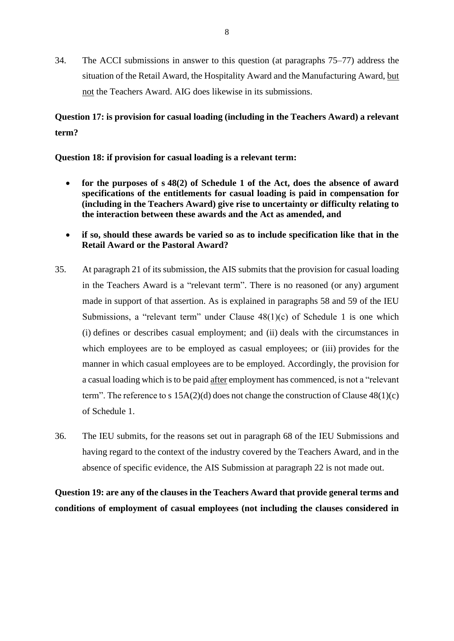34. The ACCI submissions in answer to this question (at paragraphs 75–77) address the situation of the Retail Award, the Hospitality Award and the Manufacturing Award, but not the Teachers Award. AIG does likewise in its submissions.

## **Question 17: is provision for casual loading (including in the Teachers Award) a relevant term?**

**Question 18: if provision for casual loading is a relevant term:**

- **for the purposes of s 48(2) of Schedule 1 of the Act, does the absence of award specifications of the entitlements for casual loading is paid in compensation for (including in the Teachers Award) give rise to uncertainty or difficulty relating to the interaction between these awards and the Act as amended, and**
- **if so, should these awards be varied so as to include specification like that in the Retail Award or the Pastoral Award?**
- 35. At paragraph 21 of its submission, the AIS submits that the provision for casual loading in the Teachers Award is a "relevant term". There is no reasoned (or any) argument made in support of that assertion. As is explained in paragraphs 58 and 59 of the IEU Submissions, a "relevant term" under Clause 48(1)(c) of Schedule 1 is one which (i) defines or describes casual employment; and (ii) deals with the circumstances in which employees are to be employed as casual employees; or (iii) provides for the manner in which casual employees are to be employed. Accordingly, the provision for a casual loading which is to be paid after employment has commenced, is not a "relevant term". The reference to s  $15A(2)(d)$  does not change the construction of Clause  $48(1)(c)$ of Schedule 1.
- 36. The IEU submits, for the reasons set out in paragraph 68 of the IEU Submissions and having regard to the context of the industry covered by the Teachers Award, and in the absence of specific evidence, the AIS Submission at paragraph 22 is not made out.

**Question 19: are any of the clauses in the Teachers Award that provide general terms and conditions of employment of casual employees (not including the clauses considered in**